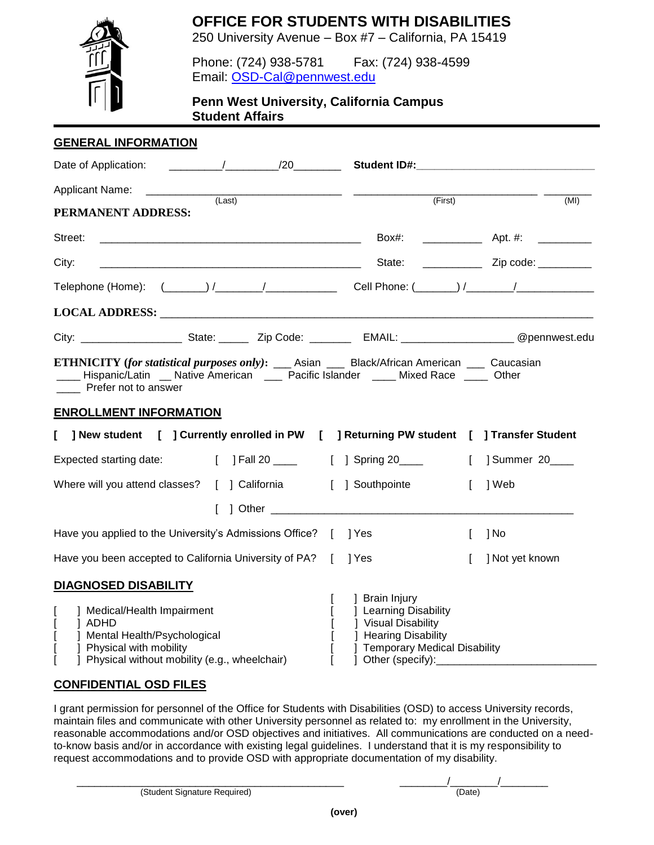**OFFICE FOR STUDENTS WITH DISABILITIES**



250 University Avenue – Box #7 – California, PA 15419

Phone: (724) 938-5781 Fax: (724) 938-4599 Email: [OSD-Cal@pennwest.edu](mailto:OSD-Cal@pennwest.edu)

**Penn West University, California Campus Student Affairs**

#### **GENERAL INFORMATION**

| <b>Applicant Name:</b><br>(Last)<br>PERMANENT ADDRESS:                                                                                                                                                                                                            | (First)                                                                                                                       | (MI)                                      |
|-------------------------------------------------------------------------------------------------------------------------------------------------------------------------------------------------------------------------------------------------------------------|-------------------------------------------------------------------------------------------------------------------------------|-------------------------------------------|
| Street:                                                                                                                                                                                                                                                           |                                                                                                                               | Box#: _______________ Apt. #: ___________ |
| City:                                                                                                                                                                                                                                                             | State:                                                                                                                        |                                           |
|                                                                                                                                                                                                                                                                   |                                                                                                                               |                                           |
| LOCAL ADDRESS: University of the contract of the contract of the contract of the contract of the contract of the contract of the contract of the contract of the contract of the contract of the contract of the contract of t                                    |                                                                                                                               |                                           |
|                                                                                                                                                                                                                                                                   |                                                                                                                               |                                           |
| <b>ETHNICITY</b> (for statistical purposes only): ____ Asian ____ Black/African American ____ Caucasian<br>____ Hispanic/Latin __ Native American ___ Pacific Islander ____ Mixed Race ____ Other<br><b>Prefer not to answer</b><br><b>ENROLLMENT INFORMATION</b> |                                                                                                                               |                                           |
| [ ] New student [ ] Currently enrolled in PW [ ] Returning PW student [ ] Transfer Student                                                                                                                                                                        |                                                                                                                               |                                           |
| Expected starting date: [ ] Fall 20 ____                                                                                                                                                                                                                          | [ ] Spring 20____                                                                                                             | [ ] Summer 20____                         |
| Where will you attend classes? [ ] California                                                                                                                                                                                                                     | [ ] Southpointe                                                                                                               | 1 Web<br>L                                |
|                                                                                                                                                                                                                                                                   |                                                                                                                               |                                           |
| Have you applied to the University's Admissions Office? [ ] Yes                                                                                                                                                                                                   |                                                                                                                               | 1 No<br>L                                 |
| Have you been accepted to California University of PA? [ ] Yes                                                                                                                                                                                                    |                                                                                                                               | ] Not yet known<br>L                      |
| <b>DIAGNOSED DISABILITY</b>                                                                                                                                                                                                                                       |                                                                                                                               |                                           |
| ] Medical/Health Impairment<br>1 ADHD<br>  Mental Health/Psychological<br>Physical with mobility<br>Physical without mobility (e.g., wheelchair)                                                                                                                  | 1 Brain Injury<br>  Learning Disability<br>] Visual Disability<br>  Hearing Disability<br><b>Temporary Medical Disability</b> |                                           |

### **CONFIDENTIAL OSD FILES**

I grant permission for personnel of the Office for Students with Disabilities (OSD) to access University records, maintain files and communicate with other University personnel as related to: my enrollment in the University, reasonable accommodations and/or OSD objectives and initiatives. All communications are conducted on a needto-know basis and/or in accordance with existing legal guidelines. I understand that it is my responsibility to request accommodations and to provide OSD with appropriate documentation of my disability.

(Student Signature Required) (Date)

\_\_\_\_\_\_\_\_\_\_\_\_\_\_\_\_\_\_\_\_\_\_\_\_\_\_\_\_\_\_\_\_\_\_\_\_\_\_\_\_\_\_\_\_\_ \_\_\_\_\_\_\_\_/\_\_\_\_\_\_\_\_/\_\_\_\_\_\_\_\_